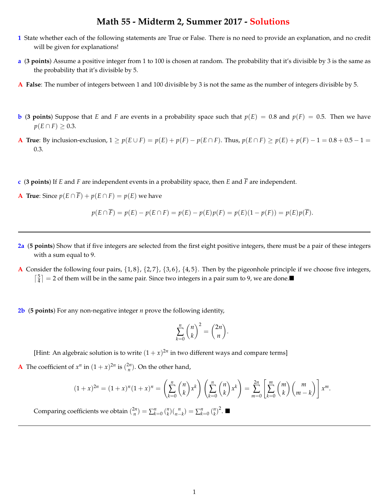## **Math 55 - Midterm 2, Summer 2017 - Solutions**

- **1** State whether each of the following statements are True or False. There is no need to provide an explanation, and no credit will be given for explanations!
- **a** (**3 points**) Assume a positive integer from 1 to 100 is chosen at random. The probability that it's divisible by 3 is the same as the probability that it's divisible by 5.
- **A False**: The number of integers between 1 and 100 divisible by 3 is not the same as the number of integers divisible by 5.
- **b** (**3** points) Suppose that *E* and *F* are events in a probability space such that  $p(E) = 0.8$  and  $p(F) = 0.5$ . Then we have  $p(E \cap F) \geq 0.3$ .
- **A** True: By inclusion-exclusion,  $1 \ge p(E \cup F) = p(E) + p(F) p(E \cap F)$ . Thus,  $p(E \cap F) \ge p(E) + p(F) 1 = 0.8 + 0.5 1 = 0.8 + 0.5 1 = 0.8 + 0.5 1 = 0.8 + 0.5 1 = 0.8 + 0.5 1 = 0.8 + 0.5 1 = 0.8 + 0.5 1 = 0.8 + 0.5 1 = 0.8 + 0.5 1 = 0.8 + 0.5 1 = 0.$ 0.3.
- **c** (**3 points**) If *E* and *F* are independent events in a probability space, then *E* and *F* are independent.
- **A True**: Since  $p(E \cap \overline{F}) + p(E \cap F) = p(E)$  we have

$$
p(E \cap \overline{F}) = p(E) - p(E \cap F) = p(E) - p(E)p(F) = p(E)(1 - p(F)) = p(E)p(\overline{F}).
$$

- **2a** (**5 points**) Show that if five integers are selected from the first eight positive integers, there must be a pair of these integers with a sum equal to 9.
- **A** Consider the following four pairs, *{*1, 8*}*, *{*2, 7*}*, *{*3, 6*}*, *{*4, 5*}*. Then by the pigeonhole principle if we choose five integers,  $\lceil \frac{5}{4} \rceil = 2$  of them will be in the same pair. Since two integers in a pair sum to 9, we are done.
- **2b** (**5 points**) For any non-negative integer *n* prove the following identity,

$$
\sum_{k=0}^{n} \binom{n}{k}^2 = \binom{2n}{n}.
$$

[Hint: An algebraic solution is to write  $(1 + x)^{2n}$  in two different ways and compare terms]

**A** The coefficient of  $x^n$  in  $(1 + x)^{2n}$  is  $\binom{2n}{n}$ . On the other hand,

$$
(1+x)^{2n} = (1+x)^n (1+x)^n = \left(\sum_{k=0}^n \binom{n}{k} x^k\right) \left(\sum_{k=0}^n \binom{n}{k} x^k\right) = \sum_{m=0}^{2n} \left[\sum_{k=0}^m \binom{m}{k} \binom{m}{m-k}\right] x^m.
$$

Comparing coefficients we obtain  $\binom{2n}{n} = \sum_{k=0}^{n} \binom{n}{k} \binom{n}{n-k} = \sum_{k=0}^{n} \binom{n}{k}^2$ .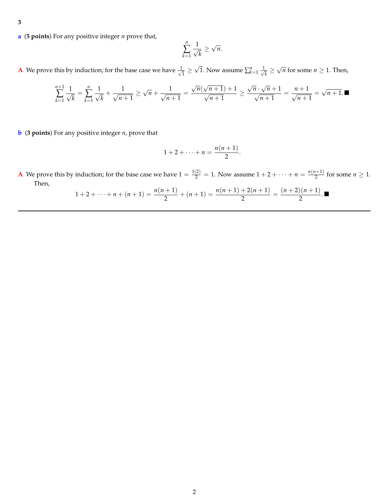- **3**
- **a** (**5 points**) For any positive integer *n* prove that,

$$
\sum_{k=1}^n \frac{1}{\sqrt{k}} \ge \sqrt{n}.
$$

**A** We prove this by induction; for the base case we have  $\frac{1}{\sqrt{1}} \ge \sqrt{1}$ . Now assume  $\sum_{k=1}^{n} \frac{1}{\sqrt{k}} \ge \sqrt{n}$  for some  $n \ge 1$ . Then,

$$
\sum_{k=1}^{n+1} \frac{1}{\sqrt{k}} = \sum_{k=1}^{n} \frac{1}{\sqrt{k}} + \frac{1}{\sqrt{n+1}} \ge \sqrt{n} + \frac{1}{\sqrt{n+1}} = \frac{\sqrt{n}(\sqrt{n+1}) + 1}{\sqrt{n+1}} \ge \frac{\sqrt{n} \cdot \sqrt{n+1}}{\sqrt{n+1}} = \frac{n+1}{\sqrt{n+1}} = \sqrt{n+1}.
$$

**b** (**3 points**) For any positive integer *n*, prove that

$$
1+2+\cdots+n=\frac{n(n+1)}{2}.
$$

**A** We prove this by induction; for the base case we have  $1 = \frac{1(2)}{2} = 1$ . Now assume  $1 + 2 + \cdots + n = \frac{n(n+1)}{2}$  for some  $n \ge 1$ . Then,

$$
1+2+\cdots+n+(n+1)=\frac{n(n+1)}{2}+(n+1)=\frac{n(n+1)+2(n+1)}{2}=\frac{(n+2)(n+1)}{2}.
$$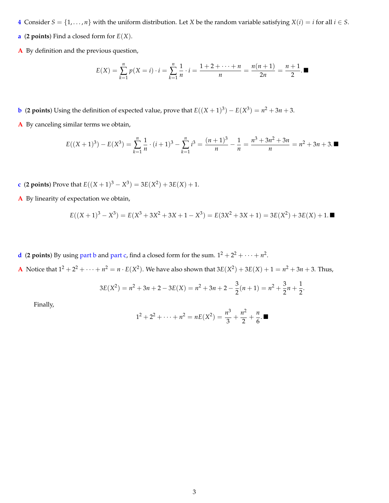- **4** Consider  $S = \{1, \ldots, n\}$  with the uniform distribution. Let *X* be the random variable satisfying  $X(i) = i$  for all  $i \in S$ .
- **a** (**2 points**) Find a closed form for  $E(X)$ .
- **A** By definition and the previous question,

$$
E(X) = \sum_{k=1}^{n} p(X = i) \cdot i = \sum_{k=1}^{n} \frac{1}{n} \cdot i = \frac{1+2+\cdots+n}{n} = \frac{n(n+1)}{2n} = \frac{n+1}{2}.
$$

**b** (**2 points**) Using the definition of expected value, prove that  $E((X + 1)^3) - E(X^3) = n^2 + 3n + 3$ .

**A** By canceling similar terms we obtain,

$$
E((X+1)^3) - E(X^3) = \sum_{k=1}^n \frac{1}{n} \cdot (i+1)^3 - \sum_{k=1}^n i^3 = \frac{(n+1)^3}{n} - \frac{1}{n} = \frac{n^3 + 3n^2 + 3n}{n} = n^2 + 3n + 3.
$$

- **c** (**2 points**) Prove that  $E((X + 1)^3 X^3) = 3E(X^2) + 3E(X) + 1$ .
- **A** By linearity of expectation we obtain,

$$
E((X+1)^3 - X^3) = E(X^3 + 3X^2 + 3X + 1 - X^3) = E(3X^2 + 3X + 1) = 3E(X^2) + 3E(X) + 1. \blacksquare
$$

**d** (**2** points) By using part b and part c, find a closed form for the sum.  $1^2 + 2^2 + \cdots + n^2$ .

**A** Notice that  $1^2 + 2^2 + \cdots + n^2 = n \cdot E(X^2)$ . We have also shown that  $3E(X^2) + 3E(X) + 1 = n^2 + 3n + 3$ . Thus,

$$
3E(X^{2}) = n^{2} + 3n + 2 - 3E(X) = n^{2} + 3n + 2 - \frac{3}{2}(n+1) = n^{2} + \frac{3}{2}n + \frac{1}{2}.
$$

Finally,

$$
1^2 + 2^2 + \dots + n^2 = nE(X^2) = \frac{n^3}{3} + \frac{n^2}{2} + \frac{n}{6}.
$$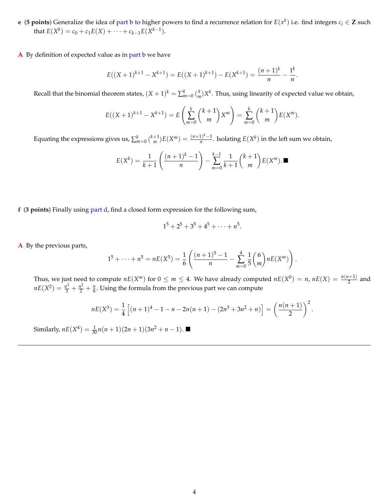**e** (**5 points**) Generalize the idea of part b to higher powers to find a recurrence relation for  $E(x^k)$  i.e. find integers  $c_i \in \mathbb{Z}$  such that  $E(X^k) = c_0 + c_1 E(X) + \cdots + c_{k-1} E(X^{k-1}).$ 

**A** By definition of expected value as in part b we have

$$
E((X+1)^{k+1} - X^{k+1}) = E((X+1)^{k+1}) - E(X^{k+1}) = \frac{(n+1)^k}{n} - \frac{1^k}{n}.
$$

Recall that the binomial theorem states,  $(X+1)^k = \sum_{m=0}^k {k \choose m} X^k$ . Thus, using linearity of expected value we obtain,

$$
E((X+1)^{k+1} - X^{k+1}) = E\left(\sum_{m=0}^{k} {k+1 \choose m} X^{m}\right) = \sum_{m=0}^{k} {k+1 \choose m} E(X^{m}).
$$

Equating the expressions gives us,  $\sum_{m=0}^{k} \binom{k+1}{m} E(X^m) = \frac{(n+1)^k - 1}{n}$ . Isolating  $E(X^k)$  in the left sum we obtain,

$$
E(X^{k}) = \frac{1}{k+1} \left( \frac{(n+1)^{k}-1}{n} \right) - \sum_{m=0}^{k-1} \frac{1}{k+1} {k+1 \choose m} E(X^{m}).
$$

**f** (**3 points**) Finally using part d, find a closed form expression for the following sum,

$$
1^5 + 2^5 + 3^5 + 4^5 + \cdots + n^5.
$$

**A** By the previous parts,

$$
1^{5}+\cdots+n^{5}=nE(X^{5})=\frac{1}{6}\left(\frac{(n+1)^{5}-1}{n}-\sum_{m=0}^{4}\frac{1}{5}\binom{6}{m}nE(X^{m})\right).
$$

Thus, we just need to compute  $nE(X^m)$  for  $0 \le m \le 4$ . We have already computed  $nE(X^0) = n$ ,  $nE(X) = \frac{n(n+1)}{2}$  and  $nE(X^2) = \frac{n^3}{3} + \frac{n^2}{2} + \frac{n}{6}$ . Using the formula from the previous part we can compute

$$
nE(X^3) = \frac{1}{4}\left[ (n+1)^4 - 1 - n - 2n(n+1) - (2n^3 + 3n^2 + n) \right] = \left( \frac{n(n+1)}{2} \right)^2.
$$

Similarly,  $nE(X^4) = \frac{1}{30}n(n+1)(2n+1)(3n^2+n-1)$ .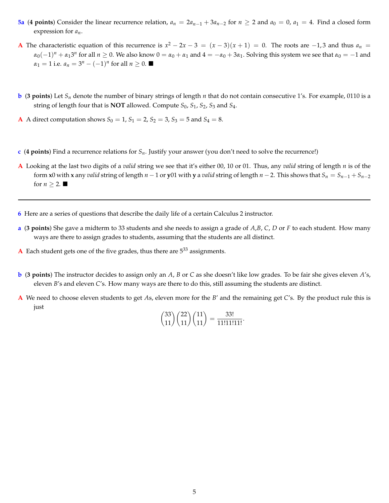- **5a** (4 points) Consider the linear recurrence relation,  $a_n = 2a_{n-1} + 3a_{n-2}$  for  $n \ge 2$  and  $a_0 = 0$ ,  $a_1 = 4$ . Find a closed form expression for *an*.
- **A** The characteristic equation of this recurrence is  $x^2 2x 3 = (x 3)(x + 1) = 0$ . The roots are  $-1, 3$  and thus  $a_n =$  $\alpha_0(-1)^n + \alpha_1 3^n$  for all  $n \ge 0$ . We also know  $0 = \alpha_0 + \alpha_1$  and  $4 = -\alpha_0 + 3\alpha_1$ . Solving this system we see that  $\alpha_0 = -1$  and  $\alpha_1 = 1$  i.e.  $a_n = 3^n - (-1)^n$  for all  $n \ge 0$ .
- **b** (3 points) Let  $S_n$  denote the number of binary strings of length *n* that do not contain consecutive 1's. For example, 0110 is a string of length four that is **NOT** allowed. Compute *S*0, *S*1, *S*2, *S*<sup>3</sup> and *S*4.
- **A** A direct computation shows  $S_0 = 1$ ,  $S_1 = 2$ ,  $S_2 = 3$ ,  $S_3 = 5$  and  $S_4 = 8$ .
- **c** (**4 points**) Find a recurrence relations for *Sn*. Justify your answer (you don't need to solve the recurrence!)
- **A** Looking at the last two digits of a *valid* string we see that it's either 00, 10 or 01. Thus, any *valid* string of length *n* is of the form **x**0 with **x** any *valid* string of length  $n-1$  or **y**01 with **y** a *valid* string of length  $n-2$ . This shows that  $S_n = S_{n-1} + S_{n-2}$ for  $n \geq 2$ .
- **6** Here are a series of questions that describe the daily life of a certain Calculus 2 instructor.
- **a** (**3 points**) She gave a midterm to 33 students and she needs to assign a grade of *A*,*B*, *C*, *D* or *F* to each student. How many ways are there to assign grades to students, assuming that the students are all distinct.
- **A** Each student gets one of the five grades, thus there are  $5^{33}$  assignments.
- **b** (**3 points**) The instructor decides to assign only an *A*, *B* or *C* as she doesn't like low grades. To be fair she gives eleven *A*'s, eleven *B*'s and eleven *C*'s. How many ways are there to do this, still assuming the students are distinct.
- **A** We need to choose eleven students to get *A*s, eleven more for the *B*' and the remaining get *C*'s. By the product rule this is just

$$
\binom{33}{11}\binom{22}{11}\binom{11}{11} = \frac{33!}{11!11111!}.
$$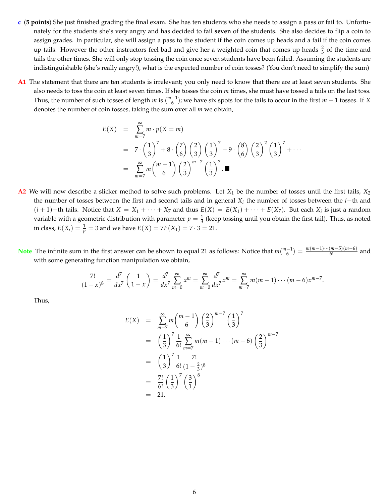- **c** (**5 points**) She just finished grading the final exam. She has ten students who she needs to assign a pass or fail to. Unfortunately for the students she's very angry and has decided to fail **seven** of the students. She also decides to flip a coin to assign grades. In particular, she will assign a pass to the student if the coin comes up heads and a fail if the coin comes up tails. However the other instructors feel bad and give her a weighted coin that comes up heads  $\frac{2}{3}$  of the time and tails the other times. She will only stop tossing the coin once seven students have been failed. Assuming the students are indistinguishable (she's really angry!), what is the expected number of coin tosses? (You don't need to simplify the sum)
- **A1** The statement that there are ten students is irrelevant; you only need to know that there are at least seven students. She also needs to toss the coin at least seven times. If she tosses the coin *m* times, she must have tossed a tails on the last toss. Thus, the number of such tosses of length  $m$  is  $\binom{m-1}{6}$ ; we have six spots for the tails to occur in the first  $m-1$  tosses. If *X* denotes the number of coin tosses, taking the sum over all *m* we obtain,

$$
E(X) = \sum_{m=7}^{\infty} m \cdot p(X = m)
$$
  
=  $7 \cdot \left(\frac{1}{3}\right)^7 + 8 \cdot \left(\frac{7}{6}\right) \left(\frac{2}{3}\right) \left(\frac{1}{3}\right)^7 + 9 \cdot \left(\frac{8}{6}\right) \left(\frac{2}{3}\right)^2 \left(\frac{1}{3}\right)^7 + \cdots$   
=  $\sum_{m=7}^{\infty} m {m-1 \choose 6} \left(\frac{2}{3}\right)^{m-7} \left(\frac{1}{3}\right)^7$ .

- **A2** We will now describe a slicker method to solve such problems. Let *X*<sup>1</sup> be the number of tosses until the first tails, *X*<sup>2</sup> the number of tosses between the first and second tails and in general  $X_i$  the number of tosses between the  $i$ -th and  $(i + 1)$  – th tails. Notice that  $X = X_1 + \cdots + X_7$  and thus  $E(X) = E(X_1) + \cdots + E(X_7)$ . But each  $X_i$  is just a random variable with a geometric distribution with parameter  $p=\frac{1}{3}$  (keep tossing until you obtain the first tail). Thus, as noted in class,  $E(X_i) = \frac{1}{p} = 3$  and we have  $E(X) = 7E(X_1) = 7 \cdot 3 = 21$ .
- **Note** The infinite sum in the first answer can be shown to equal 21 as follows: Notice that  $m\binom{m-1}{6} = \frac{m(m-1)\cdots(m-5)(m-6)}{6!}$  and with some generating function manipulation we obtain,

$$
\frac{7!}{(1-x)^8} = \frac{d^7}{dx^7} \left( \frac{1}{1-x} \right) = \frac{d^7}{dx^7} \sum_{m=0}^{\infty} x^m = \sum_{m=0}^{\infty} \frac{d^7}{dx^7} x^m = \sum_{m=7}^{\infty} m(m-1) \cdots (m-6) x^{m-7}.
$$

Thus,

$$
E(X) = \sum_{m=7}^{\infty} m {m-1 \choose 6} \left(\frac{2}{3}\right)^{m-7} \left(\frac{1}{3}\right)^7
$$
  
=  $\left(\frac{1}{3}\right)^7 \frac{1}{6!} \sum_{m=7}^{\infty} m(m-1) \cdots (m-6) \left(\frac{2}{3}\right)^{m-7}$   
=  $\left(\frac{1}{3}\right)^7 \frac{1}{6!} \frac{7!}{(1-\frac{2}{3})^8}$   
=  $\frac{7!}{6!} \left(\frac{1}{3}\right)^7 \left(\frac{3}{1}\right)^8$   
= 21.